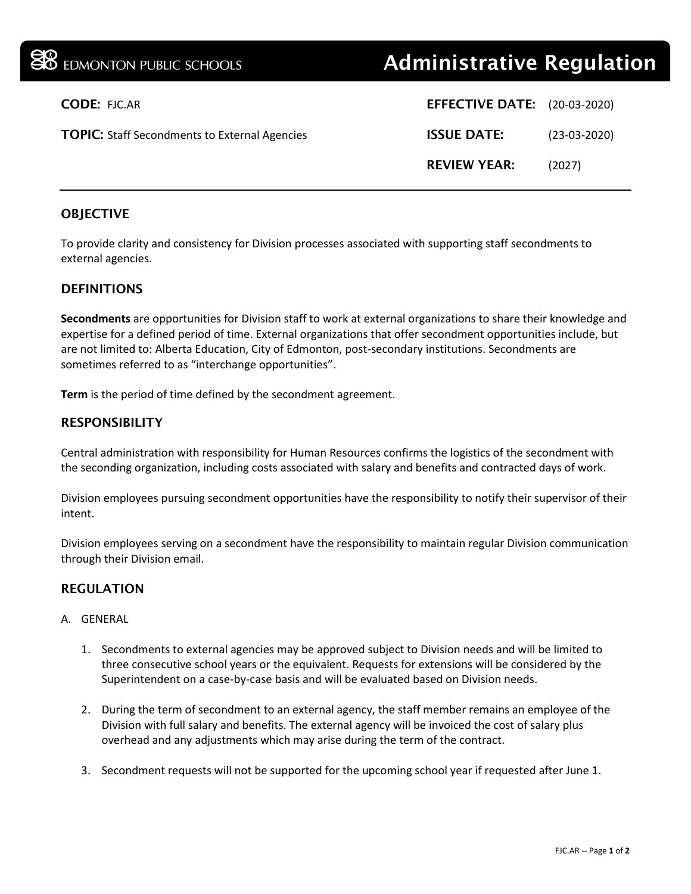| <b>30</b> EDMONTON PUBLIC SCHOOLS                    | <b>Administrative Regulation</b>    |                |
|------------------------------------------------------|-------------------------------------|----------------|
| <b>CODE: FJC.AR</b>                                  | <b>EFFECTIVE DATE:</b> (20-03-2020) |                |
| <b>TOPIC:</b> Staff Secondments to External Agencies | <b>ISSUE DATE:</b>                  | $(23-03-2020)$ |
|                                                      | <b>REVIEW YEAR:</b>                 | (2027)         |
|                                                      |                                     |                |

# **OBJECTIVE**

To provide clarity and consistency for Division processes associated with supporting staff secondments to external agencies.

# **DEFINITIONS**

**Secondments** are opportunities for Division staff to work at external organizations to share their knowledge and expertise for a defined period of time. External organizations that offer secondment opportunities include, but are not limited to: Alberta Education, City of Edmonton, post-secondary institutions. Secondments are sometimes referred to as "interchange opportunities".

**Term** is the period of time defined by the secondment agreement.

#### **RESPONSIBILITY**

Central administration with responsibility for Human Resources confirms the logistics of the secondment with the seconding organization, including costs associated with salary and benefits and contracted days of work.

Division employees pursuing secondment opportunities have the responsibility to notify their supervisor of their intent.

Division employees serving on a secondment have the responsibility to maintain regular Division communication through their Division email.

# REGULATION

#### A. GENERAL

- 1. Secondments to external agencies may be approved subject to Division needs and will be limited to three consecutive school years or the equivalent. Requests for extensions will be considered by the Superintendent on a case-by-case basis and will be evaluated based on Division needs.
- 2. During the term of secondment to an external agency, the staff member remains an employee of the Division with full salary and benefits. The external agency will be invoiced the cost of salary plus overhead and any adjustments which may arise during the term of the contract.
- 3. Secondment requests will not be supported for the upcoming school year if requested after June 1.